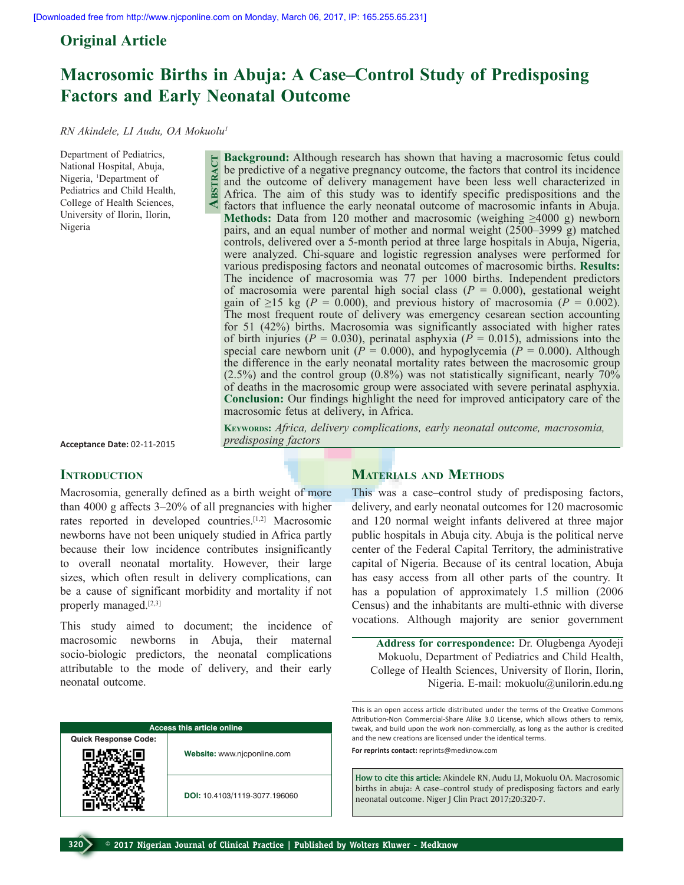**Abstract**

# **Original Article**

# **Macrosomic Births in Abuja: A Case–Control Study of Predisposing Factors and Early Neonatal Outcome**

*RN Akindele, LI Audu, OA Mokuolu1*

Department of Pediatrics, National Hospital, Abuja, Nigeria, <sup>1</sup>Department of Pediatrics and Child Health, College of Health Sciences, University of Ilorin, Ilorin, Nigeria

**Background:** Although research has shown that having a macrosomic fetus could be predictive of a negative pregnancy outcome, the factors that control its incidence and the outcome of delivery management have been less well characterized in Africa. The aim of this study was to identify specific predispositions and the factors that influence the early neonatal outcome of macrosomic infants in Abuja. **Methods:** Data from 120 mother and macrosomic (weighing  $\geq 4000$  g) newborn pairs, and an equal number of mother and normal weight (2500–3999 g) matched controls, delivered over a 5-month period at three large hospitals in Abuja, Nigeria, were analyzed. Chi-square and logistic regression analyses were performed for various predisposing factors and neonatal outcomes of macrosomic births. **Results:** The incidence of macrosomia was 77 per 1000 births. Independent predictors of macrosomia were parental high social class  $(P = 0.000)$ , gestational weight gain of  $\geq$ 15 kg (*P* = 0.000), and previous history of macrosomia (*P* = 0.002). The most frequent route of delivery was emergency cesarean section accounting for 51 (42%) births. Macrosomia was significantly associated with higher rates of birth injuries ( $P = 0.030$ ), perinatal asphyxia ( $P = 0.015$ ), admissions into the special care newborn unit ( $P = 0.000$ ), and hypoglycemia ( $P = 0.000$ ). Although the difference in the early neonatal mortality rates between the macrosomic group  $(2.5\%)$  and the control group  $(0.8\%)$  was not statistically significant, nearly 70% of deaths in the macrosomic group were associated with severe perinatal asphyxia. **Conclusion:** Our findings highlight the need for improved anticipatory care of the macrosomic fetus at delivery, in Africa.

**Acceptance Date:** 02-11-2015

### **INTRODUCTION**

Macrosomia, generally defined as a birth weight of more than 4000 g affects 3–20% of all pregnancies with higher rates reported in developed countries.[1,2] Macrosomic newborns have not been uniquely studied in Africa partly because their low incidence contributes insignificantly to overall neonatal mortality. However, their large sizes, which often result in delivery complications, can be a cause of significant morbidity and mortality if not properly managed.[2,3]

This study aimed to document; the incidence of macrosomic newborns in Abuja, their maternal socio-biologic predictors, the neonatal complications attributable to the mode of delivery, and their early neonatal outcome.

| <b>Access this article online</b> |                               |  |  |
|-----------------------------------|-------------------------------|--|--|
| <b>Quick Response Code:</b>       |                               |  |  |
|                                   | Website: www.njcponline.com   |  |  |
|                                   | DOI: 10.4103/1119-3077.196060 |  |  |

# **Materials and Methods**

KEYWORDS: Africa, delivery complications, early neonatal outcome, macrosomia,

This was a case–control study of predisposing factors, delivery, and early neonatal outcomes for 120 macrosomic and 120 normal weight infants delivered at three major public hospitals in Abuja city. Abuja is the political nerve center of the Federal Capital Territory, the administrative capital of Nigeria. Because of its central location, Abuja has easy access from all other parts of the country. It has a population of approximately 1.5 million (2006) Census) and the inhabitants are multi-ethnic with diverse vocations. Although majority are senior government

**Address for correspondence:** Dr. Olugbenga Ayodeji Mokuolu, Department of Pediatrics and Child Health, College of Health Sciences, University of Ilorin, Ilorin, Nigeria. E-mail: mokuolu@unilorin.edu.ng

This is an open access article distributed under the terms of the Creative Commons Attribution-Non Commercial-Share Alike 3.0 License, which allows others to remix, tweak, and build upon the work non-commercially, as long as the author is credited and the new creations are licensed under the identical terms. **For reprints contact:** reprints@medknow.com

**How to cite this article:** Akindele RN, Audu LI, Mokuolu OA. Macrosomic births in abuja: A case–control study of predisposing factors and early

neonatal outcome. Niger J Clin Pract 2017;20:320-7.

*predisposing factors*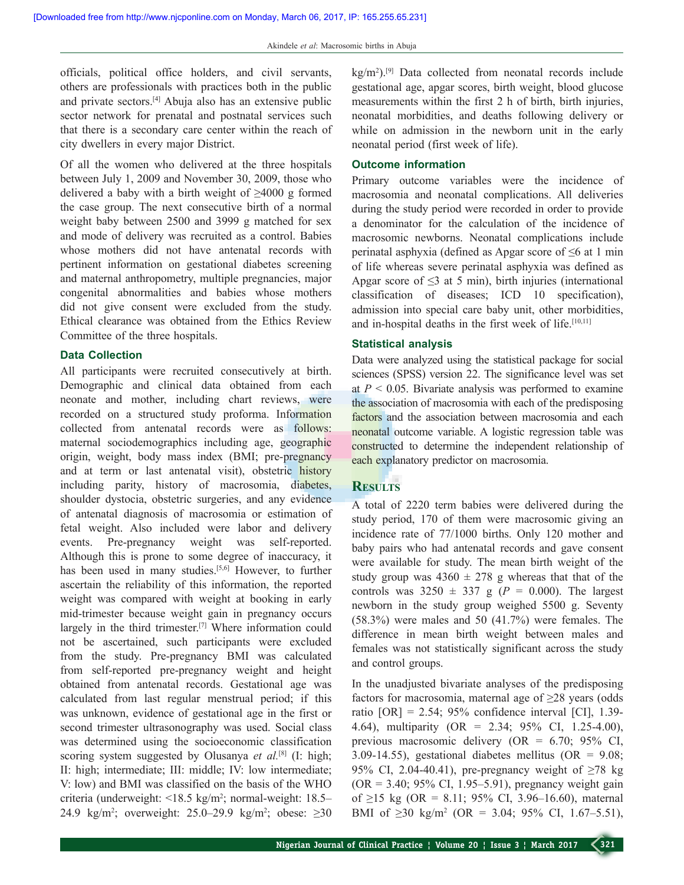officials, political office holders, and civil servants, others are professionals with practices both in the public and private sectors.[4] Abuja also has an extensive public sector network for prenatal and postnatal services such that there is a secondary care center within the reach of city dwellers in every major District.

Of all the women who delivered at the three hospitals between July 1, 2009 and November 30, 2009, those who delivered a baby with a birth weight of  $\geq 4000$  g formed the case group. The next consecutive birth of a normal weight baby between 2500 and 3999 g matched for sex and mode of delivery was recruited as a control. Babies whose mothers did not have antenatal records with pertinent information on gestational diabetes screening and maternal anthropometry, multiple pregnancies, major congenital abnormalities and babies whose mothers did not give consent were excluded from the study. Ethical clearance was obtained from the Ethics Review Committee of the three hospitals.

#### **Data Collection**

All participants were recruited consecutively at birth. Demographic and clinical data obtained from each neonate and mother, including chart reviews, were recorded on a structured study proforma. Information collected from antenatal records were as follows: maternal sociodemographics including age, geographic origin, weight, body mass index (BMI; pre-pregnancy and at term or last antenatal visit), obstetric history including parity, history of macrosomia, diabetes, shoulder dystocia, obstetric surgeries, and any evidence of antenatal diagnosis of macrosomia or estimation of fetal weight. Also included were labor and delivery events. Pre-pregnancy weight was self-reported. Although this is prone to some degree of inaccuracy, it has been used in many studies.<sup>[5,6]</sup> However, to further ascertain the reliability of this information, the reported weight was compared with weight at booking in early mid-trimester because weight gain in pregnancy occurs largely in the third trimester.<sup>[7]</sup> Where information could not be ascertained, such participants were excluded from the study. Pre-pregnancy BMI was calculated from self-reported pre-pregnancy weight and height obtained from antenatal records. Gestational age was calculated from last regular menstrual period; if this was unknown, evidence of gestational age in the first or second trimester ultrasonography was used. Social class was determined using the socioeconomic classification scoring system suggested by Olusanya *et al.*<sup>[8]</sup> (I: high; II: high; intermediate; III: middle; IV: low intermediate; V: low) and BMI was classified on the basis of the WHO criteria (underweight: <18.5 kg/m2 ; normal-weight: 18.5– 24.9 kg/m<sup>2</sup>; overweight: 25.0–29.9 kg/m<sup>2</sup>; obese:  $\geq 30$ 

kg/m<sup>2</sup>).<sup>[9]</sup> Data collected from neonatal records include gestational age, apgar scores, birth weight, blood glucose measurements within the first 2 h of birth, birth injuries, neonatal morbidities, and deaths following delivery or while on admission in the newborn unit in the early neonatal period (first week of life).

### **Outcome information**

Primary outcome variables were the incidence of macrosomia and neonatal complications. All deliveries during the study period were recorded in order to provide a denominator for the calculation of the incidence of macrosomic newborns. Neonatal complications include perinatal asphyxia (defined as Apgar score of ≤6 at 1 min of life whereas severe perinatal asphyxia was defined as Apgar score of  $\leq$ 3 at 5 min), birth injuries (international classification of diseases; ICD 10 specification), admission into special care baby unit, other morbidities, and in-hospital deaths in the first week of life.<sup>[10,11]</sup>

### **Statistical analysis**

Data were analyzed using the statistical package for social sciences (SPSS) version 22. The significance level was set at  $P < 0.05$ . Bivariate analysis was performed to examine the association of macrosomia with each of the predisposing factors and the association between macrosomia and each neonatal outcome variable. A logistic regression table was constructed to determine the independent relationship of each explanatory predictor on macrosomia.

# **Results**

A total of 2220 term babies were delivered during the study period, 170 of them were macrosomic giving an incidence rate of 77/1000 births. Only 120 mother and baby pairs who had antenatal records and gave consent were available for study. The mean birth weight of the study group was  $4360 \pm 278$  g whereas that that of the controls was  $3250 \pm 337$  g ( $P = 0.000$ ). The largest newborn in the study group weighed 5500 g. Seventy (58.3%) were males and 50 (41.7%) were females. The difference in mean birth weight between males and females was not statistically significant across the study and control groups.

In the unadjusted bivariate analyses of the predisposing factors for macrosomia, maternal age of ≥28 years (odds ratio  $[OR] = 2.54$ ; 95% confidence interval  $[CI]$ , 1.39-4.64), multiparity (OR = 2.34; 95% CI, 1.25-4.00), previous macrosomic delivery (OR = 6.70; 95% CI, 3.09-14.55), gestational diabetes mellitus (OR =  $9.08$ ; 95% CI, 2.04-40.41), pre-pregnancy weight of  $\geq 78$  kg  $(OR = 3.40; 95\% \text{ CI}, 1.95-5.91)$ , pregnancy weight gain of ≥15 kg (OR = 8.11; 95% CI, 3.96–16.60), maternal BMI of  $\geq 30$  kg/m<sup>2</sup> (OR = 3.04; 95% CI, 1.67–5.51),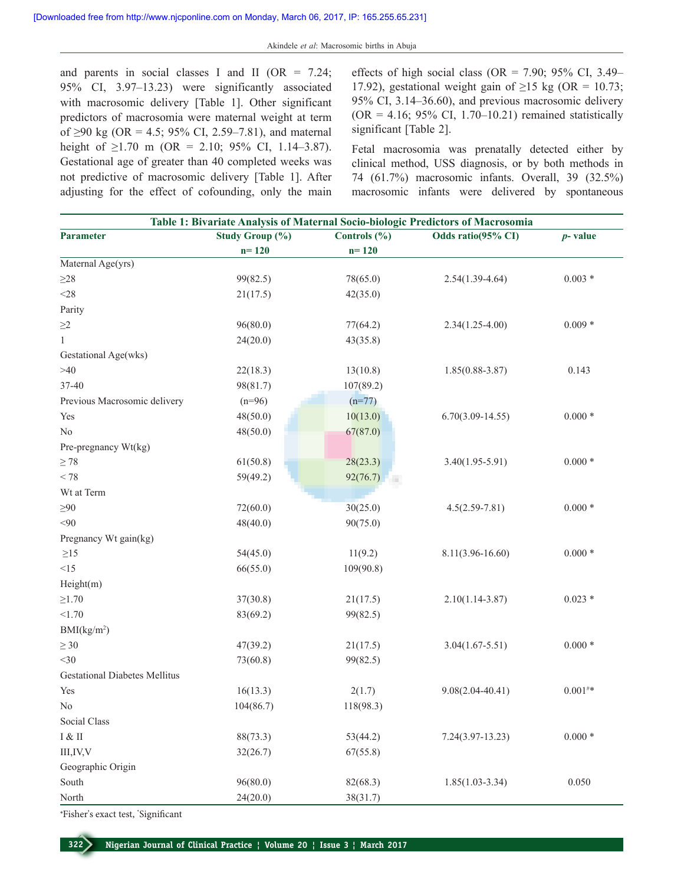and parents in social classes I and II ( $OR = 7.24$ ; 95% CI, 3.97–13.23) were significantly associated with macrosomic delivery [Table 1]. Other significant predictors of macrosomia were maternal weight at term of ≥90 kg (OR = 4.5; 95% CI, 2.59–7.81), and maternal height of  $\geq$ 1.70 m (OR = 2.10; 95% CI, 1.14–3.87). Gestational age of greater than 40 completed weeks was not predictive of macrosomic delivery [Table 1]. After adjusting for the effect of cofounding, only the main

effects of high social class (OR =  $7.90$ ;  $95\%$  CI, 3.49– 17.92), gestational weight gain of  $\geq$ 15 kg (OR = 10.73; 95% CI, 3.14–36.60), and previous macrosomic delivery  $(OR = 4.16; 95\% \text{ CI}, 1.70-10.21)$  remained statistically significant [Table 2].

Fetal macrosomia was prenatally detected either by clinical method, USS diagnosis, or by both methods in 74 (61.7%) macrosomic infants. Overall, 39 (32.5%) macrosomic infants were delivered by spontaneous

| Study Group (%)<br>Controls $(\% )$<br>Odds ratio(95% CI)<br>Parameter<br>$n = 120$<br>$n = 120$<br>Maternal Age(yrs)<br>${\geq}28$<br>99(82.5)<br>78(65.0)<br>$2.54(1.39-4.64)$<br>$<\!\!28$<br>21(17.5)<br>42(35.0)<br>Parity<br>96(80.0)<br>$\geq\!\!2$<br>77(64.2)<br>$2.34(1.25 - 4.00)$<br>$\mathbf{1}$<br>24(20.0)<br>43(35.8)<br>Gestational Age(wks)<br>>40<br>22(18.3)<br>13(10.8)<br>$1.85(0.88 - 3.87)$<br>37-40<br>98(81.7)<br>107(89.2)<br>Previous Macrosomic delivery<br>$(n=96)$<br>$(n=77)$<br>48(50.0)<br>10(13.0)<br>$6.70(3.09 - 14.55)$<br>Yes<br>No<br>48(50.0)<br>67(87.0)<br>Pre-pregnancy Wt(kg)<br>$\geq 78$<br>61(50.8)<br>28(23.3)<br>$3.40(1.95 - 5.91)$ | $p$ -value<br>$0.003 *$<br>$0.009*$<br>0.143<br>$0.000*$ |
|----------------------------------------------------------------------------------------------------------------------------------------------------------------------------------------------------------------------------------------------------------------------------------------------------------------------------------------------------------------------------------------------------------------------------------------------------------------------------------------------------------------------------------------------------------------------------------------------------------------------------------------------------------------------------------------|----------------------------------------------------------|
|                                                                                                                                                                                                                                                                                                                                                                                                                                                                                                                                                                                                                                                                                        |                                                          |
|                                                                                                                                                                                                                                                                                                                                                                                                                                                                                                                                                                                                                                                                                        |                                                          |
|                                                                                                                                                                                                                                                                                                                                                                                                                                                                                                                                                                                                                                                                                        |                                                          |
|                                                                                                                                                                                                                                                                                                                                                                                                                                                                                                                                                                                                                                                                                        |                                                          |
|                                                                                                                                                                                                                                                                                                                                                                                                                                                                                                                                                                                                                                                                                        |                                                          |
|                                                                                                                                                                                                                                                                                                                                                                                                                                                                                                                                                                                                                                                                                        |                                                          |
|                                                                                                                                                                                                                                                                                                                                                                                                                                                                                                                                                                                                                                                                                        |                                                          |
|                                                                                                                                                                                                                                                                                                                                                                                                                                                                                                                                                                                                                                                                                        |                                                          |
|                                                                                                                                                                                                                                                                                                                                                                                                                                                                                                                                                                                                                                                                                        |                                                          |
|                                                                                                                                                                                                                                                                                                                                                                                                                                                                                                                                                                                                                                                                                        |                                                          |
|                                                                                                                                                                                                                                                                                                                                                                                                                                                                                                                                                                                                                                                                                        |                                                          |
|                                                                                                                                                                                                                                                                                                                                                                                                                                                                                                                                                                                                                                                                                        |                                                          |
|                                                                                                                                                                                                                                                                                                                                                                                                                                                                                                                                                                                                                                                                                        |                                                          |
|                                                                                                                                                                                                                                                                                                                                                                                                                                                                                                                                                                                                                                                                                        |                                                          |
|                                                                                                                                                                                                                                                                                                                                                                                                                                                                                                                                                                                                                                                                                        |                                                          |
|                                                                                                                                                                                                                                                                                                                                                                                                                                                                                                                                                                                                                                                                                        | $0.000*$                                                 |
| $< 78$<br>59(49.2)<br>92(76.7)                                                                                                                                                                                                                                                                                                                                                                                                                                                                                                                                                                                                                                                         |                                                          |
| Wt at Term                                                                                                                                                                                                                                                                                                                                                                                                                                                                                                                                                                                                                                                                             |                                                          |
| $\geq 90$<br>72(60.0)<br>30(25.0)<br>$4.5(2.59 - 7.81)$                                                                                                                                                                                                                                                                                                                                                                                                                                                                                                                                                                                                                                | $0.000*$                                                 |
| < 90<br>90(75.0)<br>48(40.0)                                                                                                                                                                                                                                                                                                                                                                                                                                                                                                                                                                                                                                                           |                                                          |
| Pregnancy Wt gain(kg)                                                                                                                                                                                                                                                                                                                                                                                                                                                                                                                                                                                                                                                                  |                                                          |
| $\geq$ 15<br>54(45.0)<br>11(9.2)<br>$8.11(3.96 - 16.60)$                                                                                                                                                                                                                                                                                                                                                                                                                                                                                                                                                                                                                               | $0.000*$                                                 |
| <15<br>66(55.0)<br>109(90.8)                                                                                                                                                                                                                                                                                                                                                                                                                                                                                                                                                                                                                                                           |                                                          |
| Height(m)                                                                                                                                                                                                                                                                                                                                                                                                                                                                                                                                                                                                                                                                              |                                                          |
| $\geq$ 1.70<br>37(30.8)<br>$2.10(1.14 - 3.87)$<br>21(17.5)                                                                                                                                                                                                                                                                                                                                                                                                                                                                                                                                                                                                                             | $0.023 *$                                                |
| < 1.70<br>83(69.2)<br>99(82.5)                                                                                                                                                                                                                                                                                                                                                                                                                                                                                                                                                                                                                                                         |                                                          |
| BMI(kg/m <sup>2</sup> )                                                                                                                                                                                                                                                                                                                                                                                                                                                                                                                                                                                                                                                                |                                                          |
| $\geq 30$<br>47(39.2)<br>21(17.5)<br>$3.04(1.67 - 5.51)$                                                                                                                                                                                                                                                                                                                                                                                                                                                                                                                                                                                                                               | $0.000*$                                                 |
| $<$ 30<br>73(60.8)<br>99(82.5)                                                                                                                                                                                                                                                                                                                                                                                                                                                                                                                                                                                                                                                         |                                                          |
| <b>Gestational Diabetes Mellitus</b>                                                                                                                                                                                                                                                                                                                                                                                                                                                                                                                                                                                                                                                   |                                                          |
| 16(13.3)<br>2(1.7)<br>$9.08(2.04 - 40.41)$<br>Yes                                                                                                                                                                                                                                                                                                                                                                                                                                                                                                                                                                                                                                      | $0.001^{\text{\texttt{\#}}*}$                            |
| 104(86.7)<br>118(98.3)<br>No                                                                                                                                                                                                                                                                                                                                                                                                                                                                                                                                                                                                                                                           |                                                          |
| Social Class                                                                                                                                                                                                                                                                                                                                                                                                                                                                                                                                                                                                                                                                           |                                                          |
| I & H<br>88(73.3)<br>53(44.2)<br>$7.24(3.97-13.23)$                                                                                                                                                                                                                                                                                                                                                                                                                                                                                                                                                                                                                                    | $0.000*$                                                 |
| III, IV, V<br>32(26.7)<br>67(55.8)                                                                                                                                                                                                                                                                                                                                                                                                                                                                                                                                                                                                                                                     |                                                          |
| Geographic Origin                                                                                                                                                                                                                                                                                                                                                                                                                                                                                                                                                                                                                                                                      |                                                          |
| South<br>96(80.0)<br>82(68.3)<br>$1.85(1.03 - 3.34)$                                                                                                                                                                                                                                                                                                                                                                                                                                                                                                                                                                                                                                   | 0.050                                                    |
| North<br>24(20.0)<br>38(31.7)                                                                                                                                                                                                                                                                                                                                                                                                                                                                                                                                                                                                                                                          |                                                          |

\*Fisher's exact test, \* Significant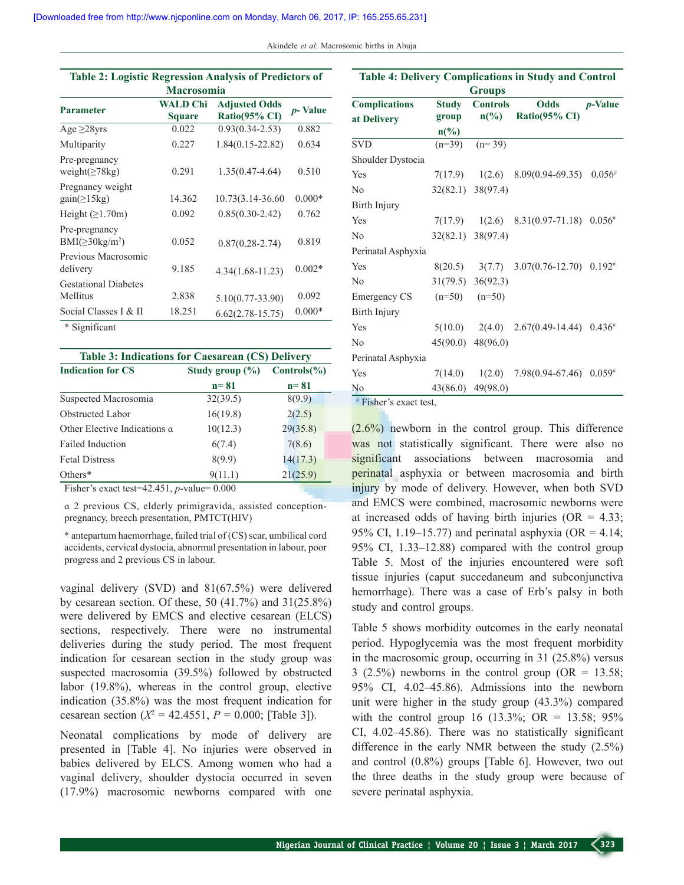| Akindele et al: Macrosomic births in Abuja |  |  |  |
|--------------------------------------------|--|--|--|
|--------------------------------------------|--|--|--|

| <b>Table 2: Logistic Regression Analysis of Predictors of</b> |                           |                                       |                 |  |  |
|---------------------------------------------------------------|---------------------------|---------------------------------------|-----------------|--|--|
| <b>Macrosomia</b>                                             |                           |                                       |                 |  |  |
| <b>Parameter</b>                                              | WALD Chi<br><b>Square</b> | <b>Adjusted Odds</b><br>Ratio(95% CI) | <i>p</i> -Value |  |  |
| Age $\geq$ 28yrs                                              | 0.022                     | $0.93(0.34 - 2.53)$                   | 0.882           |  |  |
| Multiparity                                                   | 0.227                     | $1.84(0.15 - 22.82)$                  | 0.634           |  |  |
| Pre-pregnancy<br>weight( $\geq$ 78kg)                         | 0.291                     | $1.35(0.47 - 4.64)$                   | 0.510           |  |  |
| Pregnancy weight<br>$gain(\geq 15kg)$                         | 14.362                    | 10.73(3.14-36.60                      | $0.000*$        |  |  |
| Height $(\geq 1.70m)$                                         | 0.092                     | $0.85(0.30-2.42)$                     | 0.762           |  |  |
| Pre-pregnancy<br>$BMI(\geq 30kg/m^2)$                         | 0.052                     | $0.87(0.28 - 2.74)$                   | 0.819           |  |  |
| Previous Macrosomic<br>delivery                               | 9.185                     | $4.34(1.68 - 11.23)$                  | $0.002*$        |  |  |
| <b>Gestational Diabetes</b>                                   |                           |                                       |                 |  |  |
| Mellitus                                                      | 2.838                     | $5.10(0.77 - 33.90)$                  | 0.092           |  |  |
| Social Classes I & II                                         | 18.251                    | $6.62(2.78-15.75)$                    | $0.000*$        |  |  |
| * Significant                                                 |                           |                                       |                 |  |  |

| Table 3: Indications for Caesarean (CS) Delivery |                     |                        |  |  |
|--------------------------------------------------|---------------------|------------------------|--|--|
| <b>Indication for CS</b>                         | Study group $(\% )$ | $\text{Controls}(\% )$ |  |  |
|                                                  | $n = 81$            | $n = 81$               |  |  |
| Suspected Macrosomia                             | 32(39.5)            | 8(9.9)                 |  |  |
| <b>Obstructed Labor</b>                          | 16(19.8)            | 2(2.5)                 |  |  |
| Other Elective Indications $\alpha$              | 10(12.3)            | 29(35.8)               |  |  |
| <b>Failed Induction</b>                          | 6(7.4)              | 7(8.6)                 |  |  |
| <b>Fetal Distress</b>                            | 8(9.9)              | 14(17.3)               |  |  |
| Others*                                          | 9(11.1)             | 21(25.9)               |  |  |

Fisher's exact test=42.451, *p*-value= 0.000

α 2 previous CS, elderly primigravida, assisted conceptionpregnancy, breech presentation, PMTCT(HIV)

\* antepartum haemorrhage, failed trial of (CS) scar, umbilical cord accidents, cervical dystocia, abnormal presentation in labour, poor progress and 2 previous CS in labour.

vaginal delivery (SVD) and 81(67.5%) were delivered by cesarean section. Of these, 50 (41.7%) and 31(25.8%) were delivered by EMCS and elective cesarean (ELCS) sections, respectively. There were no instrumental deliveries during the study period. The most frequent indication for cesarean section in the study group was suspected macrosomia (39.5%) followed by obstructed labor (19.8%), whereas in the control group, elective indication (35.8%) was the most frequent indication for cesarean section ( $X^2 = 42.4551$ ,  $P = 0.000$ ; [Table 3]).

Neonatal complications by mode of delivery are presented in [Table 4]. No injuries were observed in babies delivered by ELCS. Among women who had a vaginal delivery, shoulder dystocia occurred in seven (17.9%) macrosomic newborns compared with one

| <b>Table 4: Delivery Complications in Study and Control</b><br><b>Groups</b> |                       |                                    |                                                 |                 |  |
|------------------------------------------------------------------------------|-----------------------|------------------------------------|-------------------------------------------------|-----------------|--|
| <b>Complications</b><br>at Delivery                                          | <b>Study</b><br>group | <b>Controls</b><br>$n\binom{0}{0}$ | <b>Odds</b><br>Ratio(95% CI)                    | <i>p</i> -Value |  |
|                                                                              | $n\frac{6}{6}$        |                                    |                                                 |                 |  |
| <b>SVD</b>                                                                   |                       | $(n=39)$ $(n=39)$                  |                                                 |                 |  |
| Shoulder Dystocia                                                            |                       |                                    |                                                 |                 |  |
| Yes                                                                          |                       | $7(17.9) \quad 1(2.6)$             | 8.09(0.94-69.35)                                | $0.056^{*}$     |  |
| No                                                                           |                       | 32(82.1) 38(97.4)                  |                                                 |                 |  |
| Birth Injury                                                                 |                       |                                    |                                                 |                 |  |
| Yes                                                                          |                       |                                    | $7(17.9)$ $1(2.6)$ $8.31(0.97-71.18)$           | $0.056^{#}$     |  |
| No                                                                           |                       | 32(82.1) 38(97.4)                  |                                                 |                 |  |
| Perinatal Asphyxia                                                           |                       |                                    |                                                 |                 |  |
| Yes                                                                          |                       |                                    | $8(20.5)$ $3(7.7)$ $3.07(0.76-12.70)$ $0.192^*$ |                 |  |
| N <sub>o</sub>                                                               |                       | 31(79.5) 36(92.3)                  |                                                 |                 |  |
| Emergency CS                                                                 |                       | $(n=50)$ $(n=50)$                  |                                                 |                 |  |
| Birth Injury                                                                 |                       |                                    |                                                 |                 |  |
| Yes                                                                          |                       |                                    | $5(10.0)$ $2(4.0)$ $2.67(0.49-14.44)$           | $0.436*$        |  |
| No                                                                           |                       | 45(90.0) 48(96.0)                  |                                                 |                 |  |
| Perinatal Asphyxia                                                           |                       |                                    |                                                 |                 |  |
| Yes                                                                          |                       |                                    | $7(14.0)$ $1(2.0)$ $7.98(0.94-67.46)$           | $0.059^{#}$     |  |
| N <sub>o</sub>                                                               | 43(86.0)              | 49(98.0)                           |                                                 |                 |  |

Fisher's exact test,

(2.6%) newborn in the control group. This difference was not statistically significant. There were also no significant associations between macrosomia and perinatal asphyxia or between macrosomia and birth injury by mode of delivery. However, when both SVD and EMCS were combined, macrosomic newborns were at increased odds of having birth injuries ( $OR = 4.33$ ; 95% CI, 1.19–15.77) and perinatal asphyxia (OR =  $4.14$ ; 95% CI, 1.33–12.88) compared with the control group Table 5. Most of the injuries encountered were soft tissue injuries (caput succedaneum and subconjunctiva hemorrhage). There was a case of Erb's palsy in both study and control groups.

Table 5 shows morbidity outcomes in the early neonatal period. Hypoglycemia was the most frequent morbidity in the macrosomic group, occurring in 31 (25.8%) versus  $3$  (2.5%) newborns in the control group (OR = 13.58; 95% CI, 4.02–45.86). Admissions into the newborn unit were higher in the study group (43.3%) compared with the control group 16 (13.3%; OR = 13.58; 95% CI, 4.02–45.86). There was no statistically significant difference in the early NMR between the study (2.5%) and control (0.8%) groups [Table 6]. However, two out the three deaths in the study group were because of severe perinatal asphyxia.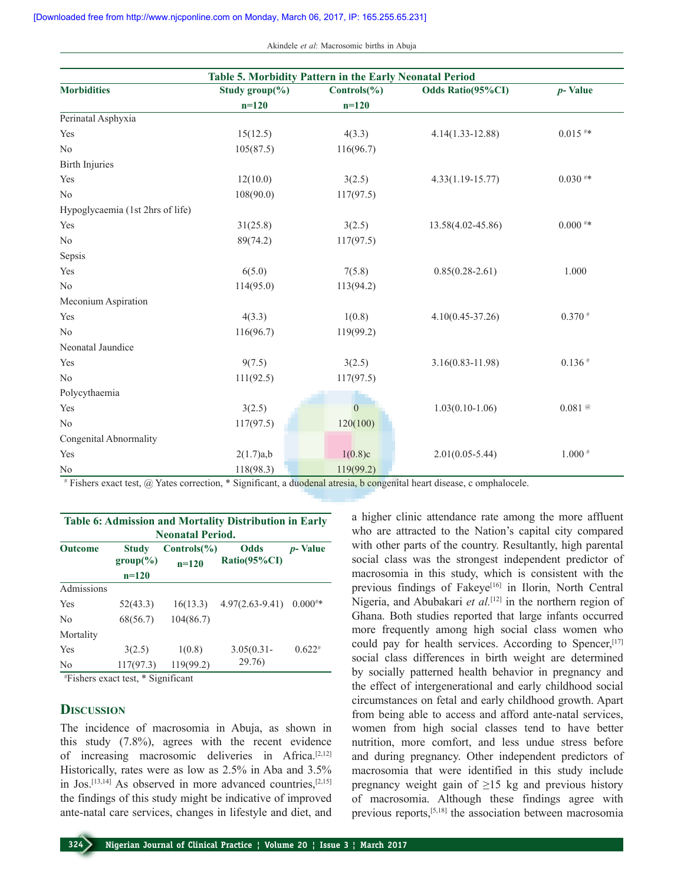Akindele *et al*: Macrosomic births in Abuja

| Table 5. Morbidity Pattern in the Early Neonatal Period |                     |                        |                      |             |  |  |
|---------------------------------------------------------|---------------------|------------------------|----------------------|-------------|--|--|
| <b>Morbidities</b>                                      | Study group $(\% )$ | $\text{Controls}(\% )$ | Odds Ratio(95%CI)    | $p$ - Value |  |  |
|                                                         | $n=120$             | $n=120$                |                      |             |  |  |
| Perinatal Asphyxia                                      |                     |                        |                      |             |  |  |
| Yes                                                     | 15(12.5)            | 4(3.3)                 | $4.14(1.33 - 12.88)$ | $0.015$ #*  |  |  |
| No                                                      | 105(87.5)           | 116(96.7)              |                      |             |  |  |
| <b>Birth Injuries</b>                                   |                     |                        |                      |             |  |  |
| Yes                                                     | 12(10.0)            | 3(2.5)                 | $4.33(1.19 - 15.77)$ | $0.030**$   |  |  |
| N <sub>o</sub>                                          | 108(90.0)           | 117(97.5)              |                      |             |  |  |
| Hypoglycaemia (1st 2hrs of life)                        |                     |                        |                      |             |  |  |
| Yes                                                     | 31(25.8)            | 3(2.5)                 | 13.58(4.02-45.86)    | $0.000$ #*  |  |  |
| No                                                      | 89(74.2)            | 117(97.5)              |                      |             |  |  |
| Sepsis                                                  |                     |                        |                      |             |  |  |
| Yes                                                     | 6(5.0)              | 7(5.8)                 | $0.85(0.28-2.61)$    | 1.000       |  |  |
| No                                                      | 114(95.0)           | 113(94.2)              |                      |             |  |  |
| Meconium Aspiration                                     |                     |                        |                      |             |  |  |
| Yes                                                     | 4(3.3)              | 1(0.8)                 | $4.10(0.45 - 37.26)$ | $0.370$ #   |  |  |
| N <sub>0</sub>                                          | 116(96.7)           | 119(99.2)              |                      |             |  |  |
| Neonatal Jaundice                                       |                     |                        |                      |             |  |  |
| Yes                                                     | 9(7.5)              | 3(2.5)                 | $3.16(0.83 - 11.98)$ | $0.136*$    |  |  |
| N <sub>0</sub>                                          | 111(92.5)           | 117(97.5)              |                      |             |  |  |
| Polycythaemia                                           |                     |                        |                      |             |  |  |
| Yes                                                     | 3(2.5)              | $\overline{0}$         | $1.03(0.10-1.06)$    | $0.081$ @   |  |  |
| N <sub>o</sub>                                          | 117(97.5)           | 120(100)               |                      |             |  |  |
| Congenital Abnormality                                  |                     |                        |                      |             |  |  |
| Yes                                                     | 2(1.7)a,b           | 1(0.8)c                | $2.01(0.05 - 5.44)$  | $1.000$ #   |  |  |
| No                                                      | 118(98.3)           | 119(99.2)              |                      |             |  |  |

# Fishers exact test, @ Yates correction, \* Significant, a duodenal atresia, b congenital heart disease, c omphalocele.

| <b>Table 6: Admission and Mortality Distribution in Early</b><br><b>Neonatal Period.</b> |                                        |                                   |                             |                 |  |
|------------------------------------------------------------------------------------------|----------------------------------------|-----------------------------------|-----------------------------|-----------------|--|
| Outcome                                                                                  | <b>Study</b><br>$group(\%)$<br>$n=120$ | $\text{Controls}(\% )$<br>$n=120$ | <b>Odds</b><br>Ratio(95%CI) | <i>p</i> -Value |  |
| Admissions                                                                               |                                        |                                   |                             |                 |  |
| Yes                                                                                      | 52(43.3)                               | 16(13.3)                          | $4.97(2.63 - 9.41)$         | $0.000^{**}$    |  |
| No                                                                                       | 68(56.7)                               | 104(86.7)                         |                             |                 |  |
| Mortality                                                                                |                                        |                                   |                             |                 |  |
| Yes                                                                                      | 3(2.5)                                 | 1(0.8)                            | $3.05(0.31 -$               | $0.622^{*}$     |  |
| No                                                                                       | 117(97.3)                              | 119(99.2)                         | 29.76)                      |                 |  |
|                                                                                          |                                        |                                   |                             |                 |  |

# Fishers exact test, \* Significant

### **Discussion**

The incidence of macrosomia in Abuja, as shown in this study (7.8%), agrees with the recent evidence of increasing macrosomic deliveries in Africa.<sup>[2,12]</sup> Historically, rates were as low as 2.5% in Aba and 3.5% in Jos.[13,14] As observed in more advanced countries,[2,15] the findings of this study might be indicative of improved ante-natal care services, changes in lifestyle and diet, and a higher clinic attendance rate among the more affluent who are attracted to the Nation's capital city compared with other parts of the country. Resultantly, high parental social class was the strongest independent predictor of macrosomia in this study, which is consistent with the previous findings of Fakeye<sup>[16]</sup> in Ilorin, North Central Nigeria, and Abubakari *et al.*<sup>[12]</sup> in the northern region of Ghana. Both studies reported that large infants occurred more frequently among high social class women who could pay for health services. According to Spencer,<sup>[17]</sup> social class differences in birth weight are determined by socially patterned health behavior in pregnancy and the effect of intergenerational and early childhood social circumstances on fetal and early childhood growth. Apart from being able to access and afford ante-natal services, women from high social classes tend to have better nutrition, more comfort, and less undue stress before and during pregnancy. Other independent predictors of macrosomia that were identified in this study include pregnancy weight gain of  $\geq 15$  kg and previous history of macrosomia. Although these findings agree with previous reports,[5,18] the association between macrosomia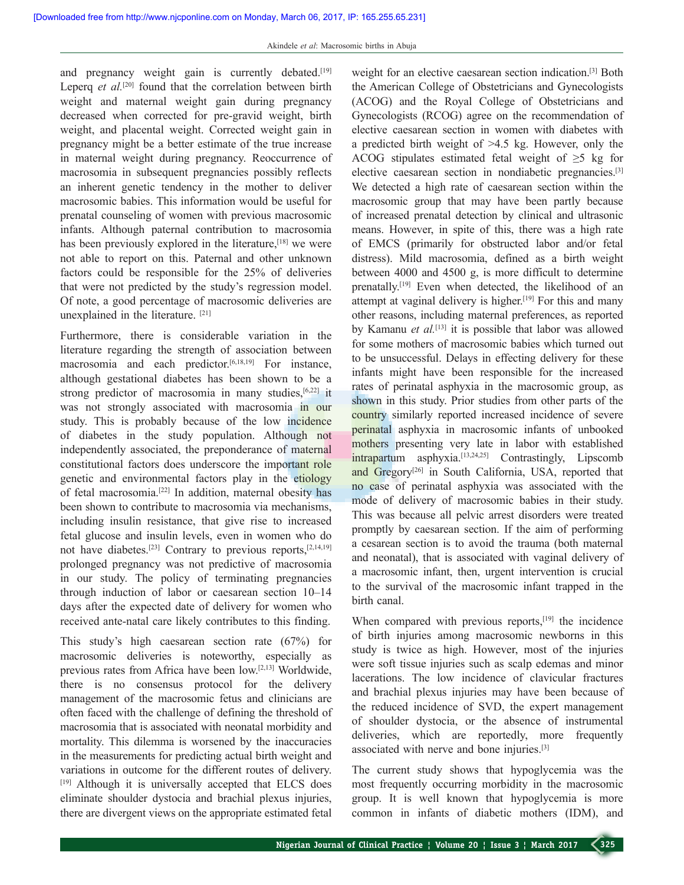and pregnancy weight gain is currently debated.<sup>[19]</sup> Leperq *et al.*<sup>[20]</sup> found that the correlation between birth weight and maternal weight gain during pregnancy decreased when corrected for pre-gravid weight, birth weight, and placental weight. Corrected weight gain in pregnancy might be a better estimate of the true increase in maternal weight during pregnancy. Reoccurrence of macrosomia in subsequent pregnancies possibly reflects an inherent genetic tendency in the mother to deliver macrosomic babies. This information would be useful for prenatal counseling of women with previous macrosomic infants. Although paternal contribution to macrosomia has been previously explored in the literature,<sup>[18]</sup> we were not able to report on this. Paternal and other unknown factors could be responsible for the 25% of deliveries that were not predicted by the study's regression model. Of note, a good percentage of macrosomic deliveries are unexplained in the literature. [21]

Furthermore, there is considerable variation in the literature regarding the strength of association between macrosomia and each predictor.<sup>[6,18,19]</sup> For instance, although gestational diabetes has been shown to be a strong predictor of macrosomia in many studies,  $[6,22]$  it was not strongly associated with macrosomia in our study. This is probably because of the low incidence of diabetes in the study population. Although not independently associated, the preponderance of maternal constitutional factors does underscore the important role genetic and environmental factors play in the etiology of fetal macrosomia.[22] In addition, maternal obesity has been shown to contribute to macrosomia via mechanisms, including insulin resistance, that give rise to increased fetal glucose and insulin levels, even in women who do not have diabetes.[23] Contrary to previous reports,[2,14,19] prolonged pregnancy was not predictive of macrosomia in our study. The policy of terminating pregnancies through induction of labor or caesarean section 10–14 days after the expected date of delivery for women who received ante-natal care likely contributes to this finding.

This study's high caesarean section rate (67%) for macrosomic deliveries is noteworthy, especially as previous rates from Africa have been low.[2,13] Worldwide, there is no consensus protocol for the delivery management of the macrosomic fetus and clinicians are often faced with the challenge of defining the threshold of macrosomia that is associated with neonatal morbidity and mortality. This dilemma is worsened by the inaccuracies in the measurements for predicting actual birth weight and variations in outcome for the different routes of delivery. [19] Although it is universally accepted that ELCS does eliminate shoulder dystocia and brachial plexus injuries, there are divergent views on the appropriate estimated fetal

weight for an elective caesarean section indication.[3] Both the American College of Obstetricians and Gynecologists (ACOG) and the Royal College of Obstetricians and Gynecologists (RCOG) agree on the recommendation of elective caesarean section in women with diabetes with a predicted birth weight of >4.5 kg. However, only the ACOG stipulates estimated fetal weight of  $\geq$ 5 kg for elective caesarean section in nondiabetic pregnancies.[3] We detected a high rate of caesarean section within the macrosomic group that may have been partly because of increased prenatal detection by clinical and ultrasonic means. However, in spite of this, there was a high rate of EMCS (primarily for obstructed labor and/or fetal distress). Mild macrosomia, defined as a birth weight between 4000 and 4500 g, is more difficult to determine prenatally.[19] Even when detected, the likelihood of an attempt at vaginal delivery is higher.<sup>[19]</sup> For this and many other reasons, including maternal preferences, as reported by Kamanu *et al.*<sup>[13]</sup> it is possible that labor was allowed for some mothers of macrosomic babies which turned out to be unsuccessful. Delays in effecting delivery for these infants might have been responsible for the increased rates of perinatal asphyxia in the macrosomic group, as shown in this study. Prior studies from other parts of the country similarly reported increased incidence of severe perinatal asphyxia in macrosomic infants of unbooked mothers presenting very late in labor with established intrapartum asphyxia.[13,24,25] Contrastingly, Lipscomb and Gregory<sup>[26]</sup> in South California, USA, reported that no case of perinatal asphyxia was associated with the mode of delivery of macrosomic babies in their study. This was because all pelvic arrest disorders were treated promptly by caesarean section. If the aim of performing a cesarean section is to avoid the trauma (both maternal and neonatal), that is associated with vaginal delivery of a macrosomic infant, then, urgent intervention is crucial to the survival of the macrosomic infant trapped in the birth canal.

When compared with previous reports,<sup>[19]</sup> the incidence of birth injuries among macrosomic newborns in this study is twice as high. However, most of the injuries were soft tissue injuries such as scalp edemas and minor lacerations. The low incidence of clavicular fractures and brachial plexus injuries may have been because of the reduced incidence of SVD, the expert management of shoulder dystocia, or the absence of instrumental deliveries, which are reportedly, more frequently associated with nerve and bone injuries.[3]

The current study shows that hypoglycemia was the most frequently occurring morbidity in the macrosomic group. It is well known that hypoglycemia is more common in infants of diabetic mothers (IDM), and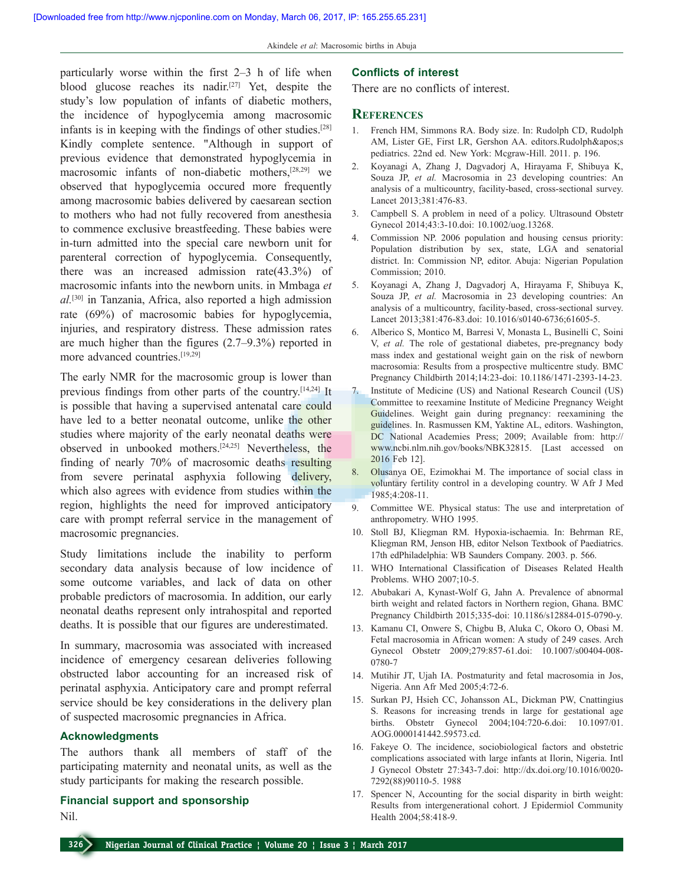particularly worse within the first 2–3 h of life when blood glucose reaches its nadir.[27] Yet, despite the study's low population of infants of diabetic mothers, the incidence of hypoglycemia among macrosomic infants is in keeping with the findings of other studies.[28] Kindly complete sentence. "Although in support of previous evidence that demonstrated hypoglycemia in macrosomic infants of non-diabetic mothers,[28,29] we observed that hypoglycemia occured more frequently among macrosomic babies delivered by caesarean section to mothers who had not fully recovered from anesthesia to commence exclusive breastfeeding. These babies were in-turn admitted into the special care newborn unit for parenteral correction of hypoglycemia. Consequently, there was an increased admission rate(43.3%) of macrosomic infants into the newborn units. in Mmbaga *et al.*[30] in Tanzania, Africa, also reported a high admission rate (69%) of macrosomic babies for hypoglycemia, injuries, and respiratory distress. These admission rates are much higher than the figures (2.7–9.3%) reported in more advanced countries.[19,29]

The early NMR for the macrosomic group is lower than previous findings from other parts of the country.[14,24] It is possible that having a supervised antenatal care could have led to a better neonatal outcome, unlike the other studies where majority of the early neonatal deaths were observed in unbooked mothers.[24,25] Nevertheless, the finding of nearly 70% of macrosomic deaths resulting from severe perinatal asphyxia following delivery, which also agrees with evidence from studies within the region, highlights the need for improved anticipatory care with prompt referral service in the management of macrosomic pregnancies.

Study limitations include the inability to perform secondary data analysis because of low incidence of some outcome variables, and lack of data on other probable predictors of macrosomia. In addition, our early neonatal deaths represent only intrahospital and reported deaths. It is possible that our figures are underestimated.

In summary, macrosomia was associated with increased incidence of emergency cesarean deliveries following obstructed labor accounting for an increased risk of perinatal asphyxia. Anticipatory care and prompt referral service should be key considerations in the delivery plan of suspected macrosomic pregnancies in Africa.

#### **Acknowledgments**

The authors thank all members of staff of the participating maternity and neonatal units, as well as the study participants for making the research possible.

### **Financial support and sponsorship**

Nil.

### **Conflicts of interest**

There are no conflicts of interest.

#### **References**

- 1. French HM, Simmons RA. Body size. In: Rudolph CD, Rudolph AM, Lister GE, First LR, Gershon AA. editors.Rudolph's pediatrics. 22nd ed. New York: Mcgraw-Hill. 2011. p. 196.
- 2. Koyanagi A, Zhang J, Dagvadorj A, Hirayama F, Shibuya K, Souza JP, *et al.* Macrosomia in 23 developing countries: An analysis of a multicountry, facility-based, cross-sectional survey. Lancet 2013;381:476-83.
- 3. Campbell S. A problem in need of a policy. Ultrasound Obstetr Gynecol 2014;43:3-10.doi: 10.1002/uog.13268.
- 4. Commission NP. 2006 population and housing census priority: Population distribution by sex, state, LGA and senatorial district. In: Commission NP, editor. Abuja: Nigerian Population Commission; 2010.
- 5. Koyanagi A, Zhang J, Dagvadorj A, Hirayama F, Shibuya K, Souza JP, *et al.* Macrosomia in 23 developing countries: An analysis of a multicountry, facility-based, cross-sectional survey. Lancet 2013;381:476-83.doi: 10.1016/s0140-6736;61605-5.
- 6. Alberico S, Montico M, Barresi V, Monasta L, Businelli C, Soini V, *et al.* The role of gestational diabetes, pre-pregnancy body mass index and gestational weight gain on the risk of newborn macrosomia: Results from a prospective multicentre study. BMC Pregnancy Childbirth 2014;14:23-doi: 10.1186/1471-2393-14-23.
- Institute of Medicine (US) and National Research Council (US) Committee to reexamine Institute of Medicine Pregnancy Weight Guidelines. Weight gain during pregnancy: reexamining the guidelines. In. Rasmussen KM, Yaktine AL, editors. Washington, DC National Academies Press; 2009; Available from: http:// www.ncbi.nlm.nih.gov/books/NBK32815. [Last accessed on 2016 Feb 12].
- 8. Olusanya OE, Ezimokhai M. The importance of social class in voluntary fertility control in a developing country. W Afr J Med 1985;4:208-11.
- 9. Committee WE. Physical status: The use and interpretation of anthropometry. WHO 1995.
- 10. Stoll BJ, Kliegman RM. Hypoxia-ischaemia. In: Behrman RE, Kliegman RM, Jenson HB, editor Nelson Textbook of Paediatrics. 17th edPhiladelphia: WB Saunders Company. 2003. p. 566.
- 11. WHO International Classification of Diseases Related Health Problems. WHO 2007;10-5.
- 12. Abubakari A, Kynast-Wolf G, Jahn A. Prevalence of abnormal birth weight and related factors in Northern region, Ghana. BMC Pregnancy Childbirth 2015;335-doi: 10.1186/s12884-015-0790-y.
- 13. Kamanu CI, Onwere S, Chigbu B, Aluka C, Okoro O, Obasi M. Fetal macrosomia in African women: A study of 249 cases. Arch Gynecol Obstetr 2009;279:857-61.doi: 10.1007/s00404-008- 0780-7
- 14. Mutihir JT, Ujah IA. Postmaturity and fetal macrosomia in Jos, Nigeria. Ann Afr Med 2005;4:72-6.
- 15. Surkan PJ, Hsieh CC, Johansson AL, Dickman PW, Cnattingius S. Reasons for increasing trends in large for gestational age births. Obstetr Gynecol 2004;104:720-6.doi: 10.1097/01. AOG.0000141442.59573.cd.
- 16. Fakeye O. The incidence, sociobiological factors and obstetric complications associated with large infants at Ilorin, Nigeria. Intl J Gynecol Obstetr 27:343-7.doi: http://dx.doi.org/10.1016/0020- 7292(88)90110-5. 1988
- 17. Spencer N, Accounting for the social disparity in birth weight: Results from intergenerational cohort. J Epidermiol Community Health 2004;58:418-9.